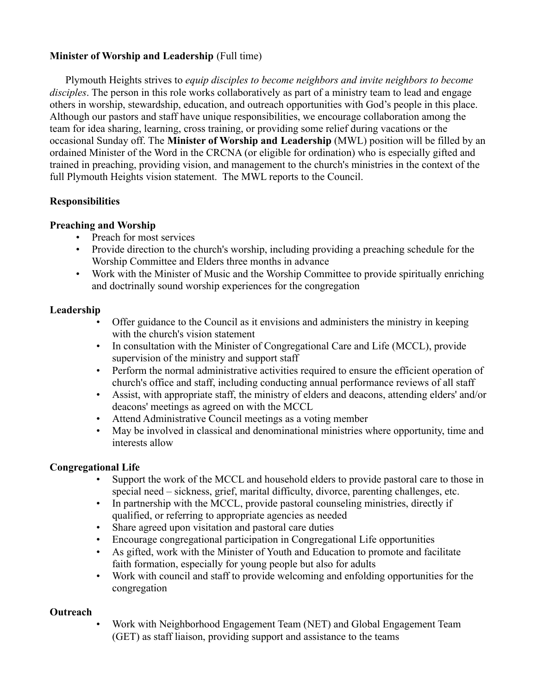### **Minister of Worship and Leadership** (Full time)

Plymouth Heights strives to *equip disciples to become neighbors and invite neighbors to become disciples*. The person in this role works collaboratively as part of a ministry team to lead and engage others in worship, stewardship, education, and outreach opportunities with God's people in this place. Although our pastors and staff have unique responsibilities, we encourage collaboration among the team for idea sharing, learning, cross training, or providing some relief during vacations or the occasional Sunday off. The **Minister of Worship and Leadership** (MWL) position will be filled by an ordained Minister of the Word in the CRCNA (or eligible for ordination) who is especially gifted and trained in preaching, providing vision, and management to the church's ministries in the context of the full Plymouth Heights vision statement. The MWL reports to the Council.

## **Responsibilities**

#### **Preaching and Worship**

- Preach for most services
- Provide direction to the church's worship, including providing a preaching schedule for the Worship Committee and Elders three months in advance
- Work with the Minister of Music and the Worship Committee to provide spiritually enriching and doctrinally sound worship experiences for the congregation

#### **Leadership**

- Offer guidance to the Council as it envisions and administers the ministry in keeping with the church's vision statement
- In consultation with the Minister of Congregational Care and Life (MCCL), provide supervision of the ministry and support staff
- Perform the normal administrative activities required to ensure the efficient operation of church's office and staff, including conducting annual performance reviews of all staff
- Assist, with appropriate staff, the ministry of elders and deacons, attending elders' and/or deacons' meetings as agreed on with the MCCL
- Attend Administrative Council meetings as a voting member
- May be involved in classical and denominational ministries where opportunity, time and interests allow

# **Congregational Life**

- Support the work of the MCCL and household elders to provide pastoral care to those in special need – sickness, grief, marital difficulty, divorce, parenting challenges, etc.
- In partnership with the MCCL, provide pastoral counseling ministries, directly if qualified, or referring to appropriate agencies as needed
- Share agreed upon visitation and pastoral care duties
- Encourage congregational participation in Congregational Life opportunities
- As gifted, work with the Minister of Youth and Education to promote and facilitate faith formation, especially for young people but also for adults
- Work with council and staff to provide welcoming and enfolding opportunities for the congregation

#### **Outreach**

• Work with Neighborhood Engagement Team (NET) and Global Engagement Team (GET) as staff liaison, providing support and assistance to the teams